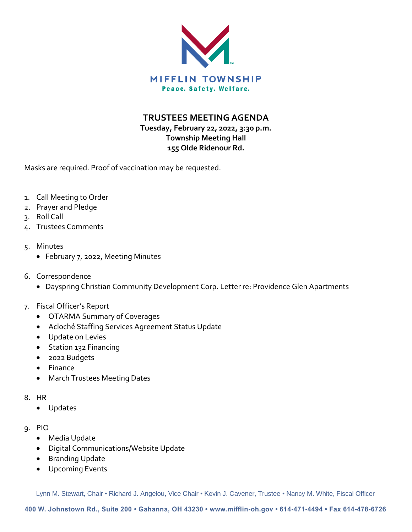

**TRUSTEES MEETING AGENDA**

# **Tuesday, February 22, 2022, 3:30 p.m. Township Meeting Hall 155 Olde Ridenour Rd.**

Masks are required. Proof of vaccination may be requested.

- 1. Call Meeting to Order
- 2. Prayer and Pledge
- 3. Roll Call
- 4. Trustees Comments
- 5. Minutes
	- February 7, 2022, Meeting Minutes
- 6. Correspondence
	- Dayspring Christian Community Development Corp. Letter re: Providence Glen Apartments

# 7. Fiscal Officer's Report

- OTARMA Summary of Coverages
- Acloché Staffing Services Agreement Status Update
- Update on Levies
- Station 132 Financing
- 2022 Budgets
- Finance
- March Trustees Meeting Dates
- 8. HR
	- Updates
- 9. PIO
	- Media Update
	- Digital Communications/Website Update
	- Branding Update
	- Upcoming Events

Lynn M. Stewart, Chair • Richard J. Angelou, Vice Chair • Kevin J. Cavener, Trustee • Nancy M. White, Fiscal Officer